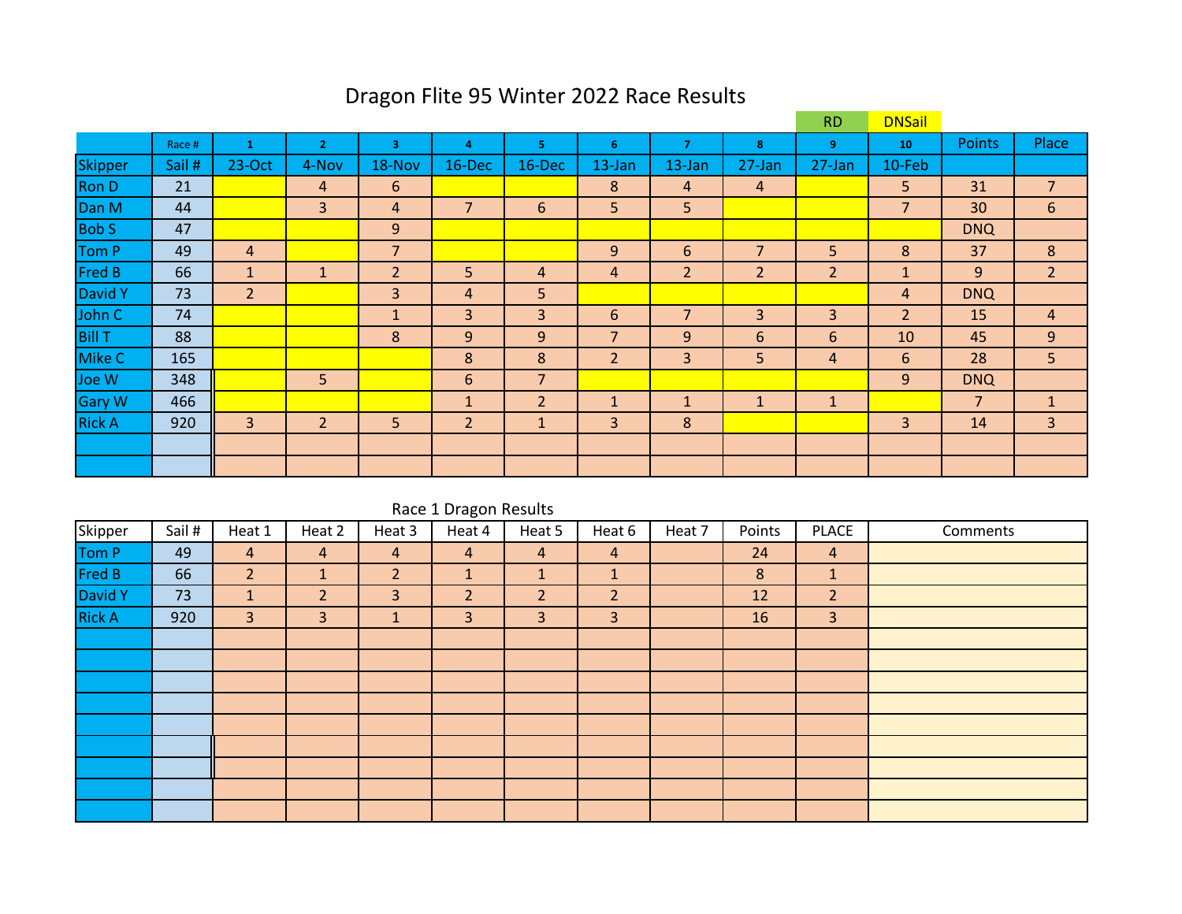# Dragon Flite 95 Winter 2022 Race Results

|               |        |                |                |                |                |                |                |                |                | <b>RD</b>      | <b>DNSail</b>  |                |                |
|---------------|--------|----------------|----------------|----------------|----------------|----------------|----------------|----------------|----------------|----------------|----------------|----------------|----------------|
|               | Race # |                | $\overline{2}$ | 3              | 4              | 5.             | 6              | $\overline{7}$ | 8              | 9              | 10             | <b>Points</b>  | Place          |
| Skipper       | Sail # | 23-Oct         | 4-Nov          | 18-Nov         | 16-Dec         | $16$ -Dec      | 13-Jan         | 13-Jan         | 27-Jan         | 27-Jan         | 10-Feb         |                |                |
| Ron D         | 21     |                | 4              | 6              |                |                | 8              | 4              | 4              |                | 5              | 31             | $\overline{7}$ |
| Dan M         | 44     |                | 3              | 4              | $\overline{7}$ | 6              | 5              | 5              |                |                | $\overline{7}$ | 30             | 6              |
| <b>Bob S</b>  | 47     |                |                | 9              |                |                |                |                |                |                |                | <b>DNQ</b>     |                |
| Tom P         | 49     | $\overline{4}$ |                | $\overline{7}$ |                |                | 9              | 6              | 7              | 5              | 8              | 37             | 8              |
| <b>Fred B</b> | 66     | $\mathbf{1}$   | 1              | $\overline{2}$ | 5              | 4              | 4              | $\overline{2}$ | $\overline{2}$ | $\overline{2}$ | $\mathbf{1}$   | 9              | $\overline{2}$ |
| David Y       | 73     | $\overline{2}$ |                | 3              | 4              | 5              |                |                |                |                | 4              | <b>DNQ</b>     |                |
| John C        | 74     |                |                | 1              | 3              | 3              | 6              | $\overline{7}$ | 3              | 3              | $\overline{2}$ | 15             | 4              |
| <b>Bill T</b> | 88     |                |                | 8              | 9              | 9              | 7              | 9              | 6              | 6              | 10             | 45             | 9              |
| Mike C        | 165    |                |                |                | 8              | 8              | $\overline{2}$ | 3              | 5              | 4              | 6              | 28             | 5              |
| Joe W         | 348    |                | 5              |                | 6              | $\overline{7}$ |                |                |                |                | 9              | <b>DNQ</b>     |                |
| <b>Gary W</b> | 466    |                |                |                | $\mathbf{1}$   | $\overline{2}$ | $\mathbf{1}$   | $\mathbf{1}$   | $\mathbf{1}$   | $\mathbf{1}$   |                | $\overline{7}$ |                |
| <b>Rick A</b> | 920    | 3              | $\overline{2}$ | 5              | $\overline{2}$ | $\mathbf{1}$   | $\overline{3}$ | 8              |                |                | 3              | 14             | 3              |
|               |        |                |                |                |                |                |                |                |                |                |                |                |                |
|               |        |                |                |                |                |                |                |                |                |                |                |                |                |

|               | Race 1 Dragon Results |                |                |                |                |                |                |        |        |                |          |  |  |  |  |
|---------------|-----------------------|----------------|----------------|----------------|----------------|----------------|----------------|--------|--------|----------------|----------|--|--|--|--|
| Skipper       | Sail #                | Heat 1         | Heat 2         | Heat 3         | Heat 4         | Heat 5         | Heat 6         | Heat 7 | Points | <b>PLACE</b>   | Comments |  |  |  |  |
| Tom P         | 49                    | $\overline{4}$ | $\overline{4}$ | 4              | $\overline{4}$ | $\overline{4}$ | $\overline{4}$ |        | 24     | $\overline{4}$ |          |  |  |  |  |
| Fred B        | 66                    | 2 <sup>1</sup> | $\mathbf{1}$   | $\overline{2}$ | $\mathbf{1}$   | $\mathbf{1}$   | $\mathbf{1}$   |        | 8      | $\mathbf{1}$   |          |  |  |  |  |
| David Y       | 73                    | $\mathbf{1}$   | $\overline{2}$ | 3              | $\overline{2}$ | $\overline{2}$ | 2 <sup>1</sup> |        | 12     | $\overline{2}$ |          |  |  |  |  |
| <b>Rick A</b> | 920                   | $\overline{3}$ | 3              | $\mathbf{1}$   | 3              | 3              | 3              |        | 16     | $\overline{3}$ |          |  |  |  |  |
|               |                       |                |                |                |                |                |                |        |        |                |          |  |  |  |  |
|               |                       |                |                |                |                |                |                |        |        |                |          |  |  |  |  |
|               |                       |                |                |                |                |                |                |        |        |                |          |  |  |  |  |
|               |                       |                |                |                |                |                |                |        |        |                |          |  |  |  |  |
|               |                       |                |                |                |                |                |                |        |        |                |          |  |  |  |  |
|               |                       |                |                |                |                |                |                |        |        |                |          |  |  |  |  |
|               |                       |                |                |                |                |                |                |        |        |                |          |  |  |  |  |
|               |                       |                |                |                |                |                |                |        |        |                |          |  |  |  |  |
|               |                       |                |                |                |                |                |                |        |        |                |          |  |  |  |  |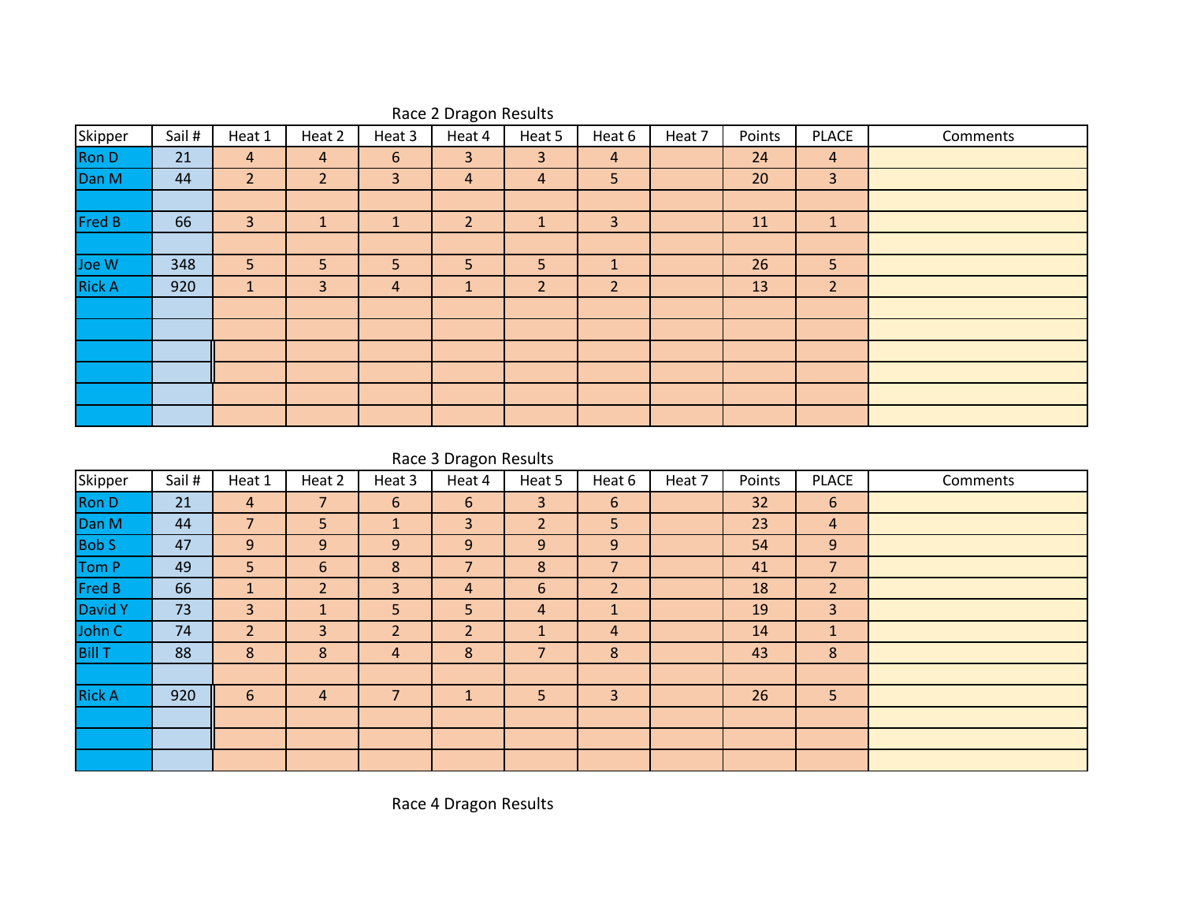| Skipper       | Sail # | Heat 1         | Heat 2         | Heat 3       | Heat 4         | Heat 5         | Heat 6         | Heat 7 | Points | <b>PLACE</b>   | Comments |
|---------------|--------|----------------|----------------|--------------|----------------|----------------|----------------|--------|--------|----------------|----------|
| Ron D         | 21     | $\overline{4}$ | $\overline{4}$ | 6            | 3              | $\overline{3}$ | $\overline{4}$ |        | 24     | $\overline{4}$ |          |
| Dan M         | 44     | $\overline{2}$ | $\overline{2}$ | 3            | 4              | 4              | 5              |        | 20     | $\overline{3}$ |          |
|               |        |                |                |              |                |                |                |        |        |                |          |
| Fred B        | 66     | $\overline{3}$ | $\mathbf{1}$   | $\mathbf{1}$ | $\overline{2}$ |                | $\overline{3}$ |        | 11     | $\mathbf{1}$   |          |
|               |        |                |                |              |                |                |                |        |        |                |          |
| Joe W         | 348    | 5 <sup>1</sup> | 5              | 5            | 5              | 5              | $\mathbf{1}$   |        | 26     | 5              |          |
| <b>Rick A</b> | 920    | ÷.             | 3              | 4            | ш              | $\overline{2}$ | $\overline{2}$ |        | 13     | $\overline{2}$ |          |
|               |        |                |                |              |                |                |                |        |        |                |          |
|               |        |                |                |              |                |                |                |        |        |                |          |
|               |        |                |                |              |                |                |                |        |        |                |          |
|               |        |                |                |              |                |                |                |        |        |                |          |
|               |        |                |                |              |                |                |                |        |        |                |          |
|               |        |                |                |              |                |                |                |        |        |                |          |

## Race 2 Dragon Results

Race 3 Dragon Results

| Skipper       | Sail # | Heat 1         | Heat 2         | Heat 3         | Heat 4         | Heat 5         | Heat 6         | Heat 7 | Points | <b>PLACE</b>   | Comments |
|---------------|--------|----------------|----------------|----------------|----------------|----------------|----------------|--------|--------|----------------|----------|
| Ron D         | 21     | $\overline{4}$ | $\overline{7}$ | 6              | 6              | 3              | 6              |        | 32     | 6              |          |
| Dan M         | 44     | $\overline{7}$ | 5              | 1              | 3              | $\overline{2}$ | 5              |        | 23     | $\overline{4}$ |          |
| <b>Bob S</b>  | 47     | 9              | 9              | 9              | 9              | 9              | 9              |        | 54     | 9              |          |
| Tom P         | 49     | 5              | 6              | 8              | 7              | 8              | $\overline{7}$ |        | 41     | $\overline{7}$ |          |
| Fred B        | 66     | $\mathbf{1}$   | $\overline{2}$ | $\overline{3}$ | 4              | 6              | $\overline{2}$ |        | 18     | $\overline{2}$ |          |
| David Y       | 73     | 3              |                | 5              | 5              | 4              | $\mathbf{1}$   |        | 19     | $\overline{3}$ |          |
| John C        | 74     | $\overline{2}$ | 3              | 2              | $\overline{2}$ |                | $\overline{4}$ |        | 14     | $\mathbf{1}$   |          |
| <b>Bill T</b> | 88     | 8              | 8              | 4              | 8              | 7              | 8              |        | 43     | 8              |          |
|               |        |                |                |                |                |                |                |        |        |                |          |
| <b>Rick A</b> | 920    | 6              | 4              | $\overline{7}$ |                | 5              | 3              |        | 26     | 5              |          |
|               |        |                |                |                |                |                |                |        |        |                |          |
|               |        |                |                |                |                |                |                |        |        |                |          |
|               |        |                |                |                |                |                |                |        |        |                |          |

Race 4 Dragon Results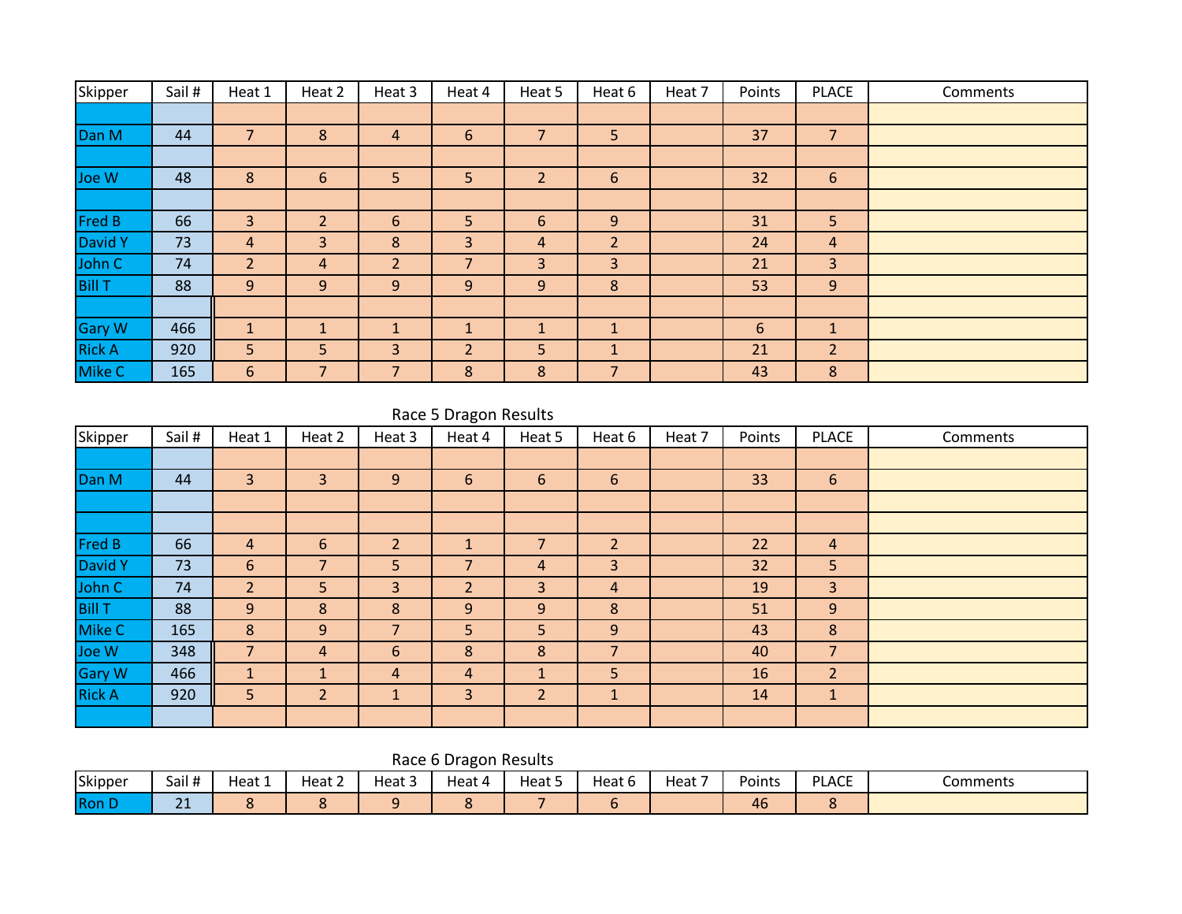| Skipper       | Sail # | Heat 1         | Heat 2         | Heat 3         | Heat 4         | Heat 5         | Heat 6         | Heat 7 | Points | <b>PLACE</b>   | Comments |
|---------------|--------|----------------|----------------|----------------|----------------|----------------|----------------|--------|--------|----------------|----------|
|               |        |                |                |                |                |                |                |        |        |                |          |
| Dan M         | 44     | 7              | 8              | 4              | 6              | 7              | 5 <sup>5</sup> |        | 37     | $\overline{7}$ |          |
|               |        |                |                |                |                |                |                |        |        |                |          |
| Joe W         | 48     | 8              | 6              | 5              | 5              | $\overline{2}$ | 6              |        | 32     | 6              |          |
|               |        |                |                |                |                |                |                |        |        |                |          |
| <b>Fred B</b> | 66     | 3              | $\overline{2}$ | 6              | 5              | 6              | 9              |        | 31     | 5              |          |
| David Y       | 73     | 4              | 3              | 8              | 3              | 4              | $\overline{2}$ |        | 24     | 4              |          |
| John C        | 74     | $\overline{2}$ | 4              | $\overline{2}$ | 7              | 3              | 3              |        | 21     | 3              |          |
| <b>Bill T</b> | 88     | 9              | 9              | 9              | 9              | 9              | 8              |        | 53     | 9              |          |
|               |        |                |                |                |                |                |                |        |        |                |          |
| <b>Gary W</b> | 466    | $\mathbf{1}$   | $\mathbf{1}$   | $\mathbf{1}$   | $\mathbf{1}$   | $\mathbf{1}$   | $\mathbf{1}$   |        | 6      | $\mathbf{1}$   |          |
| <b>Rick A</b> | 920    | 5              | 5              | 3              | $\overline{2}$ | 5              | $\mathbf{1}$   |        | 21     | $\overline{2}$ |          |
| Mike C        | 165    | 6              | $\overline{7}$ | $\overline{7}$ | 8              | 8              | $\overline{7}$ |        | 43     | 8              |          |

### Race 5 Dragon Results

| Skipper       | Sail # | Heat 1         | Heat 2         | Heat 3         | $\tilde{\phantom{a}}$<br>Heat 4 | Heat 5         | Heat 6         | Heat 7 | Points | <b>PLACE</b>   | Comments |
|---------------|--------|----------------|----------------|----------------|---------------------------------|----------------|----------------|--------|--------|----------------|----------|
|               |        |                |                |                |                                 |                |                |        |        |                |          |
| Dan M         | 44     | 3              | 3              | 9              | 6                               | 6              | 6              |        | 33     | 6              |          |
|               |        |                |                |                |                                 |                |                |        |        |                |          |
|               |        |                |                |                |                                 |                |                |        |        |                |          |
| <b>Fred B</b> | 66     | 4              | 6              | $\overline{2}$ |                                 | 7              | $\overline{2}$ |        | 22     | $\overline{4}$ |          |
| David Y       | 73     | 6              | 7              | 5              | $\overline{7}$                  | $\overline{a}$ | 3              |        | 32     | 5              |          |
| John C        | 74     | $\overline{2}$ | 5.             | 3              | $\overline{2}$                  | 3              | $\overline{4}$ |        | 19     | 3              |          |
| <b>Bill T</b> | 88     | 9              | 8              | 8              | 9                               | 9              | 8              |        | 51     | 9              |          |
| Mike C        | 165    | 8              | 9              | $\overline{7}$ | 5                               | 5              | 9              |        | 43     | 8              |          |
| Joe W         | 348    | $\overline{7}$ | 4              | 6              | 8                               | 8              | $\overline{7}$ |        | 40     | $\overline{7}$ |          |
| <b>Gary W</b> | 466    | $\mathbf{1}$   | $\mathbf{1}$   | 4              | $\overline{4}$                  | $\mathbf{1}$   | 5              |        | 16     | $\overline{2}$ |          |
| <b>Rick A</b> | 920    | 5              | $\overline{2}$ |                | 3                               | $\overline{2}$ | $\mathbf{1}$   |        | 14     | $\mathbf{1}$   |          |
|               |        |                |                |                |                                 |                |                |        |        |                |          |

## Race 6 Dragon Results

| Skipper      | Sail#              | Heat 1 | $\overline{\phantom{a}}$<br>Heat ∠ | $\overline{\phantom{a}}$<br>Heat 5 | Heat 4<br>- 4 | Heat | Heat b | -<br>Heat | Points | <b>PLACE</b> | Comments |
|--------------|--------------------|--------|------------------------------------|------------------------------------|---------------|------|--------|-----------|--------|--------------|----------|
| <b>Ron L</b> | $\mathbf{a}$<br>-- |        |                                    |                                    |               |      |        |           | 46     |              |          |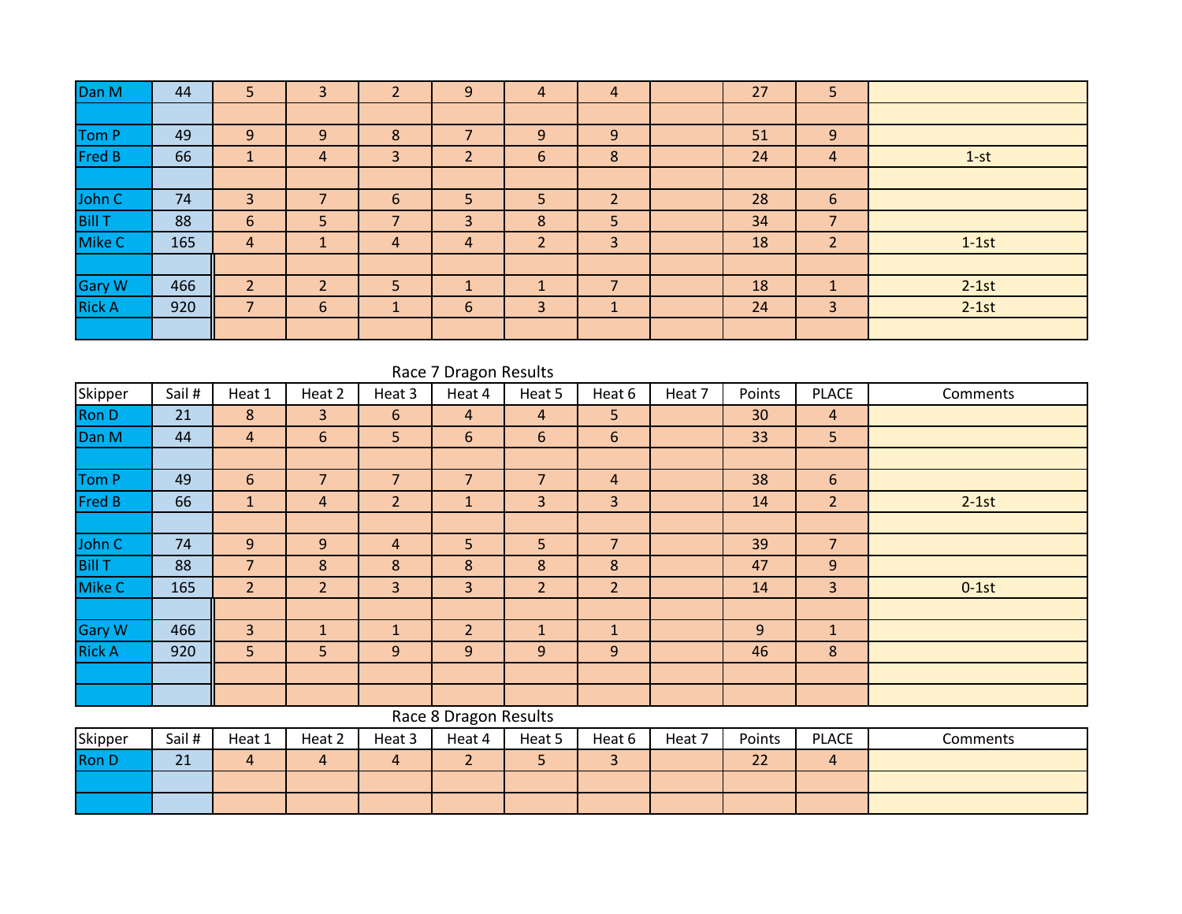| Dan M         | 44  | 5                        | ◠<br>3                   | $\mathbf{D}$<br>∠        | 9              | $\overline{4}$           | 4                        | 27 | 5              |         |
|---------------|-----|--------------------------|--------------------------|--------------------------|----------------|--------------------------|--------------------------|----|----------------|---------|
|               |     |                          |                          |                          |                |                          |                          |    |                |         |
| Tom P         | 49  | 9                        | 9                        | 8                        | ∍              | 9                        | 9                        | 51 | 9              |         |
| Fred B        | 66  | A                        | 4                        | 3                        | $\overline{2}$ | 6                        | 8                        | 24 | $\overline{4}$ | $1-st$  |
|               |     |                          |                          |                          |                |                          |                          |    |                |         |
| John C        | 74  | 3                        |                          | 6                        | 5              | 5                        | $\overline{\phantom{a}}$ | 28 | 6              |         |
| <b>Bill T</b> | 88  | 6                        | 5                        | $\overline{\phantom{a}}$ | 3              | 8                        | 5                        | 34 | $\overline{7}$ |         |
| Mike C        | 165 | $\overline{4}$           | ┻                        | 4                        | 4              | $\overline{2}$           | 3                        | 18 | $\overline{2}$ | $1-1st$ |
|               |     |                          |                          |                          |                |                          |                          |    |                |         |
| <b>Gary W</b> | 466 | $\overline{\mathcal{L}}$ | $\overline{\phantom{0}}$ | 5                        | $\mathbf{1}$   | $\overline{\phantom{a}}$ | $\overline{\phantom{a}}$ | 18 |                | $2-1st$ |
| <b>Rick A</b> | 920 | $\overline{\phantom{a}}$ | 6                        |                          | 6              | $\overline{3}$           | $\mathbf{1}$             | 24 | 3              | $2-1st$ |
|               |     |                          |                          |                          |                |                          |                          |    |                |         |

|               | Race 7 Dragon Results |                |                |                |                       |                |                |        |        |                |          |  |  |  |  |
|---------------|-----------------------|----------------|----------------|----------------|-----------------------|----------------|----------------|--------|--------|----------------|----------|--|--|--|--|
| Skipper       | Sail#                 | Heat 1         | Heat 2         | Heat 3         | Heat 4                | Heat 5         | Heat 6         | Heat 7 | Points | <b>PLACE</b>   | Comments |  |  |  |  |
| <b>Ron D</b>  | 21                    | 8              | 3              | 6              | $\overline{4}$        | 4              | 5              |        | 30     | 4              |          |  |  |  |  |
| Dan M         | 44                    | $\overline{4}$ | 6              | 5              | 6                     | 6              | 6              |        | 33     | 5              |          |  |  |  |  |
|               |                       |                |                |                |                       |                |                |        |        |                |          |  |  |  |  |
| Tom P         | 49                    | 6              | $\overline{7}$ | $\overline{7}$ | $\overline{7}$        | $\overline{7}$ | $\overline{4}$ |        | 38     | 6              |          |  |  |  |  |
| Fred B        | 66                    | $\mathbf{1}$   | 4              | $\overline{2}$ | $\mathbf{1}$          | 3              | $\overline{3}$ |        | 14     | $\overline{2}$ | $2-1st$  |  |  |  |  |
|               |                       |                |                |                |                       |                |                |        |        |                |          |  |  |  |  |
| John C        | 74                    | 9              | 9              | $\overline{4}$ | 5                     | 5              | $\overline{7}$ |        | 39     | $\overline{7}$ |          |  |  |  |  |
| <b>Bill T</b> | 88                    | $\overline{7}$ | 8              | 8              | 8                     | 8              | 8              |        | 47     | 9              |          |  |  |  |  |
| Mike C        | 165                   | $\overline{2}$ | $\overline{2}$ | 3              | 3                     | $\overline{2}$ | $\overline{2}$ |        | 14     | $\overline{3}$ | $0-1st$  |  |  |  |  |
|               |                       |                |                |                |                       |                |                |        |        |                |          |  |  |  |  |
| <b>Gary W</b> | 466                   | $\overline{3}$ | 1              | $\mathbf{1}$   | $\overline{2}$        | $\mathbf{1}$   | $\mathbf{1}$   |        | 9      | $\mathbf{1}$   |          |  |  |  |  |
| <b>Rick A</b> | 920                   | 5              | 5              | 9              | 9                     | 9              | 9              |        | 46     | 8              |          |  |  |  |  |
|               |                       |                |                |                |                       |                |                |        |        |                |          |  |  |  |  |
|               |                       |                |                |                |                       |                |                |        |        |                |          |  |  |  |  |
|               |                       |                |                |                | Race 8 Dragon Results |                |                |        |        |                |          |  |  |  |  |

| Skipper | Sail # | Heat 1 | Heat 2 | Heat 3 | Heat 4 | Heat 5 | Heat 6 | Heat 7 | Points               | <b>PLACE</b> | Comments |
|---------|--------|--------|--------|--------|--------|--------|--------|--------|----------------------|--------------|----------|
| Ron D   | 21     |        |        |        | -      |        |        |        | $\sim$<br><u>_ _</u> |              |          |
|         |        |        |        |        |        |        |        |        |                      |              |          |
|         |        |        |        |        |        |        |        |        |                      |              |          |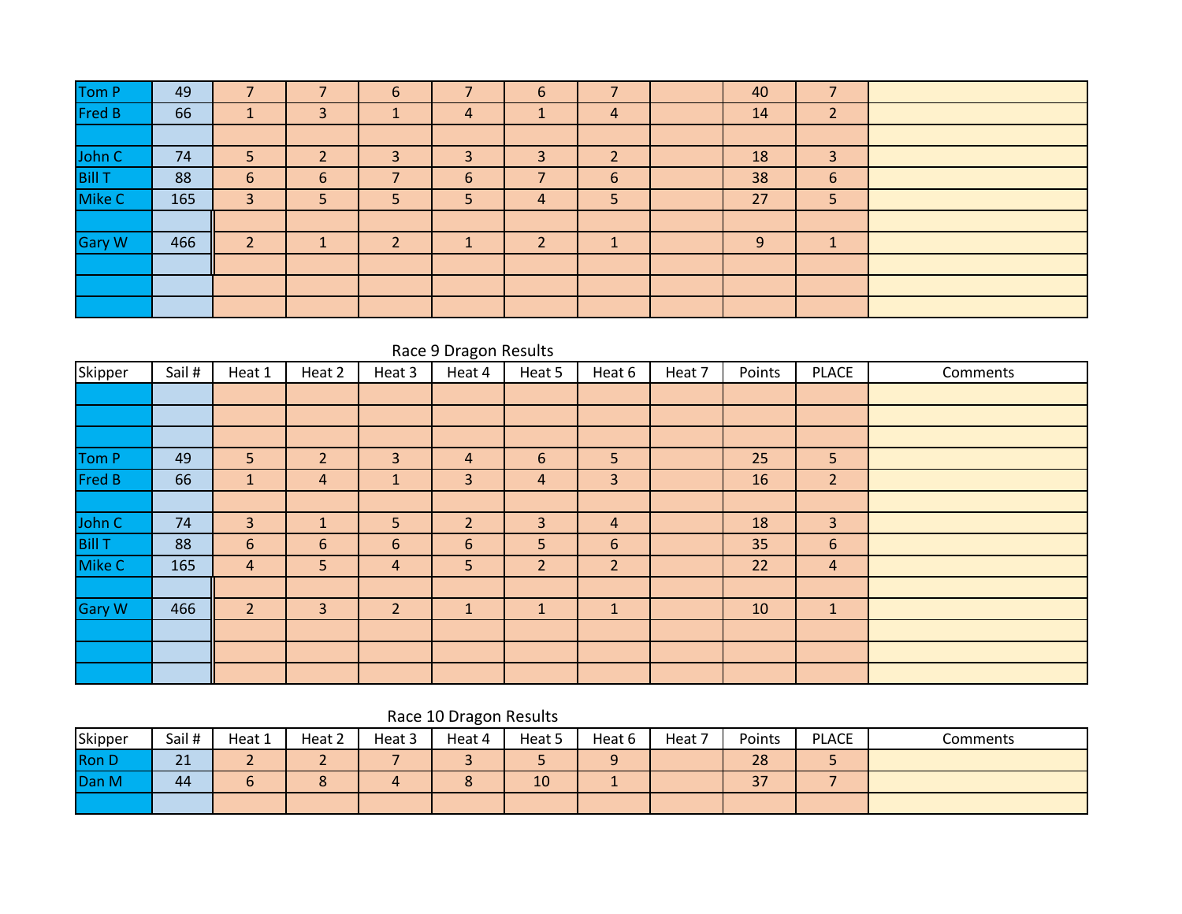| Tom P         | 49  |   |   | 6 |   | 6 |   | 40 |                     |  |
|---------------|-----|---|---|---|---|---|---|----|---------------------|--|
| Fred B        | 66  |   |   |   | 4 |   | 4 | 14 | C.<br>$\mathcal{L}$ |  |
|               |     |   |   |   |   |   |   |    |                     |  |
| John C        | 74  | 5 |   | 3 | 3 | э | ∍ | 18 | 3                   |  |
| <b>Bill T</b> | 88  | 6 | 6 | = | 6 |   | 6 | 38 | 6                   |  |
| Mike C        | 165 | 3 | 5 | 5 | 5 | 4 | 5 | 27 | 5                   |  |
|               |     |   |   |   |   |   |   |    |                     |  |
| <b>Gary W</b> | 466 |   |   | ີ |   | h |   | 9  |                     |  |
|               |     |   |   |   |   |   |   |    |                     |  |
|               |     |   |   |   |   |   |   |    |                     |  |
|               |     |   |   |   |   |   |   |    |                     |  |

|                  | Race 9 Dragon Results |                |                |                 |                |                |                |        |        |                |          |  |  |  |  |
|------------------|-----------------------|----------------|----------------|-----------------|----------------|----------------|----------------|--------|--------|----------------|----------|--|--|--|--|
| Skipper          | Sail #                | Heat 1         | Heat 2         | Heat 3          | Heat 4         | Heat 5         | Heat 6         | Heat 7 | Points | <b>PLACE</b>   | Comments |  |  |  |  |
|                  |                       |                |                |                 |                |                |                |        |        |                |          |  |  |  |  |
|                  |                       |                |                |                 |                |                |                |        |        |                |          |  |  |  |  |
|                  |                       |                |                |                 |                |                |                |        |        |                |          |  |  |  |  |
| Tom P            | 49                    | 5              | $\overline{2}$ | 3               | 4              | 6              | 5 <sup>5</sup> |        | 25     | 5              |          |  |  |  |  |
| Fred B           | 66                    | $\mathbf{1}$   | 4              | $\mathbf{1}$    | $\overline{3}$ | $\overline{4}$ | $\overline{3}$ |        | 16     | $\overline{2}$ |          |  |  |  |  |
|                  |                       |                |                |                 |                |                |                |        |        |                |          |  |  |  |  |
|                  | 74                    | $\overline{3}$ | $\mathbf{1}$   | 5               | $\overline{2}$ | $\overline{3}$ | $\overline{a}$ |        | 18     | 3              |          |  |  |  |  |
| John C<br>Bill T | 88                    | 6              | 6              | $6\overline{6}$ | 6              | 5              | 6              |        | 35     | 6              |          |  |  |  |  |
| Mike C           | 165                   | $\overline{4}$ | 5              | 4               | 5              | $\overline{2}$ | $\overline{2}$ |        | 22     | $\overline{a}$ |          |  |  |  |  |
|                  |                       |                |                |                 |                |                |                |        |        |                |          |  |  |  |  |
| Gary W           | 466                   | $\overline{2}$ | 3              | $\overline{2}$  | $\mathbf{1}$   | $\mathbf{1}$   | $\vert$ 1      |        | 10     | $\vert$ 1      |          |  |  |  |  |
|                  |                       |                |                |                 |                |                |                |        |        |                |          |  |  |  |  |
|                  |                       |                |                |                 |                |                |                |        |        |                |          |  |  |  |  |
|                  |                       |                |                |                 |                |                |                |        |        |                |          |  |  |  |  |

| <b>NALE TO DIAKUIT RESUITS</b> |         |        |        |        |        |        |        |        |        |              |          |
|--------------------------------|---------|--------|--------|--------|--------|--------|--------|--------|--------|--------------|----------|
| Skipper                        | Sail #  | Heat 1 | Heat 2 | Heat 3 | Heat 4 | Heat 5 | Heat 6 | Heat 7 | Points | <b>PLACE</b> | Comments |
| <b>Ron D</b>                   | 21<br>ᅀ |        |        |        |        |        | ⌒      |        | 28     |              |          |
| Dan M                          | 44      |        |        |        |        | 10     |        |        | 37     |              |          |
|                                |         |        |        |        |        |        |        |        |        |              |          |

#### Race 10 Dragon Results